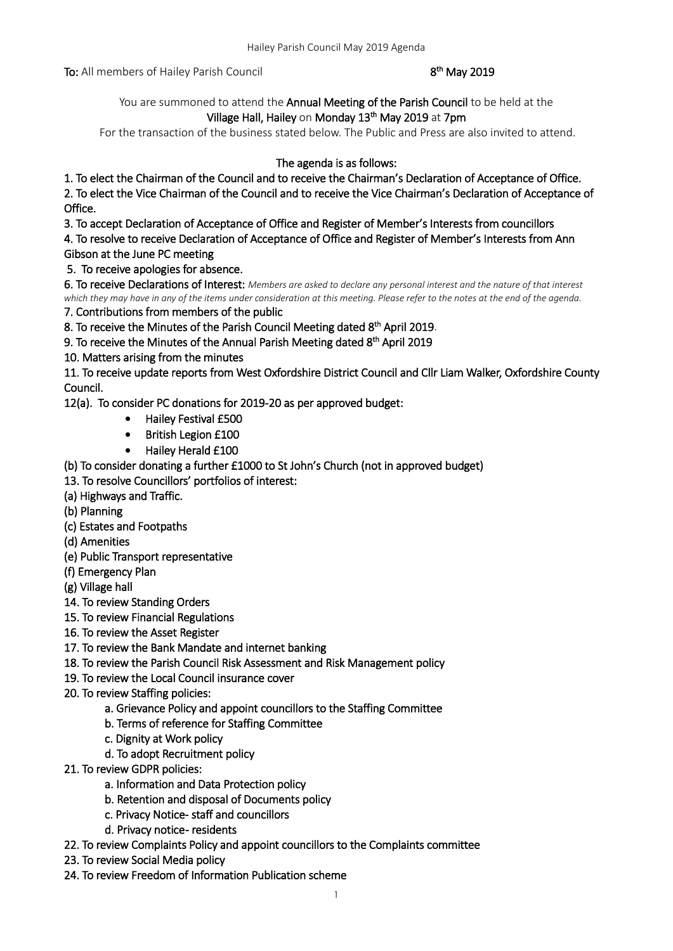To: All members of Hailey Parish Council

## <sup>th</sup> May 2019

You are summoned to attend the Annual Meeting of the Parish Council to be held at the Village Hall, Hailey on Monday 13<sup>th</sup> May 2019 at 7pm

For the transaction of the business stated below. The Public and Press are also invited to attend.

# The agenda is as follows:

1. To elect the Chairman of the Council and to receive the Chairman's Declaration of Acceptance of Office.

2. To elect the Vice Chairman of the Council and to receive the Vice Chairman's Declaration of Acceptance of Office.

3. To accept Declaration of Acceptance of Office and Register of Member's Interests from councillors

4. To resolve to receive Declaration of Acceptance of Office and Register of Member's Interests from Ann Gibson at the June PC meeting

5. To receive apologies for absence.

6. To receive Declarations of Interest: *Members are asked to declare any personal interest and the nature of that interest which they may have in any of the items under consideration at this meeting. Please refer to the notes at the end of the agenda.*

7. Contributions from members of the public

8. To receive the Minutes of the Parish Council Meeting dated 8<sup>th</sup> April 2019.

9. To receive the Minutes of the Annual Parish Meeting dated 8<sup>th</sup> April 2019

10. Matters arising from the minutes

11. To receive update reports from West Oxfordshire District Council and Cllr Liam Walker, Oxfordshire County Council.

12(a). To consider PC donations for 2019-20 as per approved budget:

- Hailey Festival £500
- British Legion £100
- Hailey Herald £100
- (b) To consider donating a further £1000 to St John's Church (not in approved budget)
- 13. To resolve Councillors' portfolios of interest:
- (a) Highways and Traffic.
- (b) Planning
- (c) Estates and Footpaths
- (d) Amenities
- (e) Public Transport representative
- (f) Emergency Plan
- (g) Village hall
- 14. To review Standing Orders
- 15. To review Financial Regulations
- 16. To review the Asset Register
- 17. To review the Bank Mandate and internet banking
- 18. To review the Parish Council Risk Assessment and Risk Management policy
- 19. To review the Local Council insurance cover
- 20. To review Staffing policies:
	- a. Grievance Policy and appoint councillors to the Staffing Committee
	- b. Terms of reference for Staffing Committee
	- c. Dignity at Work policy
	- d. To adopt Recruitment policy
- 21. To review GDPR policies:
	- a. Information and Data Protection policy
	- b. Retention and disposal of Documents policy
	- c. Privacy Notice- staff and councillors
	- d. Privacy notice- residents
- 22. To review Complaints Policy and appoint councillors to the Complaints committee
- 23. To review Social Media policy
- 24. To review Freedom of Information Publication scheme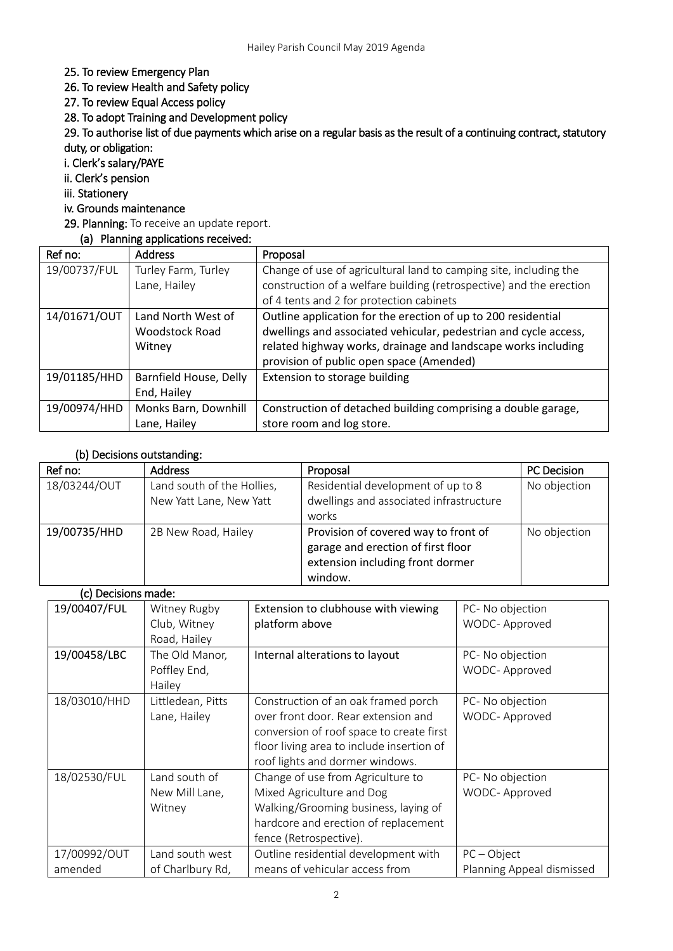### 25. To review Emergency Plan

26. To review Health and Safety policy

27. To review Equal Access policy

28. To adopt Training and Development policy

29. To authorise list of due payments which arise on a regular basis as the result of a continuing contract, statutory duty, or obligation:

i. Clerk's salary/PAYE

ii. Clerk's pension

iii. Stationery

# iv. Grounds maintenance

29. Planning: To receive an update report.

## (a) Planning applications received:

| Ref no:      | <b>Address</b>         | Proposal                                                            |  |
|--------------|------------------------|---------------------------------------------------------------------|--|
| 19/00737/FUL | Turley Farm, Turley    | Change of use of agricultural land to camping site, including the   |  |
|              | Lane, Hailey           | construction of a welfare building (retrospective) and the erection |  |
|              |                        | of 4 tents and 2 for protection cabinets                            |  |
| 14/01671/OUT | Land North West of     | Outline application for the erection of up to 200 residential       |  |
|              | <b>Woodstock Road</b>  | dwellings and associated vehicular, pedestrian and cycle access,    |  |
|              | Witney                 | related highway works, drainage and landscape works including       |  |
|              |                        | provision of public open space (Amended)                            |  |
| 19/01185/HHD | Barnfield House, Delly | Extension to storage building                                       |  |
|              | End, Hailey            |                                                                     |  |
| 19/00974/HHD | Monks Barn, Downhill   | Construction of detached building comprising a double garage,       |  |
|              | Lane, Hailey           | store room and log store.                                           |  |

### (b) Decisions outstanding:

| Ref no:      | <b>Address</b>                                        | Proposal                                                                                                                  | PC Decision  |
|--------------|-------------------------------------------------------|---------------------------------------------------------------------------------------------------------------------------|--------------|
| 18/03244/OUT | Land south of the Hollies,<br>New Yatt Lane, New Yatt | Residential development of up to 8<br>dwellings and associated infrastructure<br>works                                    | No objection |
| 19/00735/HHD | 2B New Road, Hailey                                   | Provision of covered way to front of<br>garage and erection of first floor<br>extension including front dormer<br>window. | No objection |

#### (c) Decisions made:

| 19/00407/FUL | Witney Rugby<br>Club, Witney | Extension to clubhouse with viewing<br>platform above | PC- No objection<br>WODC- Approved |
|--------------|------------------------------|-------------------------------------------------------|------------------------------------|
|              | Road, Hailey                 |                                                       |                                    |
| 19/00458/LBC | The Old Manor,               | Internal alterations to layout                        | PC- No objection                   |
|              | Poffley End,                 |                                                       | WODC- Approved                     |
|              | Hailey                       |                                                       |                                    |
| 18/03010/HHD | Littledean, Pitts            | Construction of an oak framed porch                   | PC- No objection                   |
|              | Lane, Hailey                 | over front door. Rear extension and                   | WODC- Approved                     |
|              |                              | conversion of roof space to create first              |                                    |
|              |                              | floor living area to include insertion of             |                                    |
|              |                              | roof lights and dormer windows.                       |                                    |
| 18/02530/FUL | Land south of                | Change of use from Agriculture to                     | PC- No objection                   |
|              | New Mill Lane,               | Mixed Agriculture and Dog                             | WODC- Approved                     |
|              | Witney                       | Walking/Grooming business, laying of                  |                                    |
|              |                              | hardcore and erection of replacement                  |                                    |
|              |                              | fence (Retrospective).                                |                                    |
| 17/00992/OUT | Land south west              | Outline residential development with                  | $PC - Object$                      |
| amended      | of Charlbury Rd,             | means of vehicular access from                        | Planning Appeal dismissed          |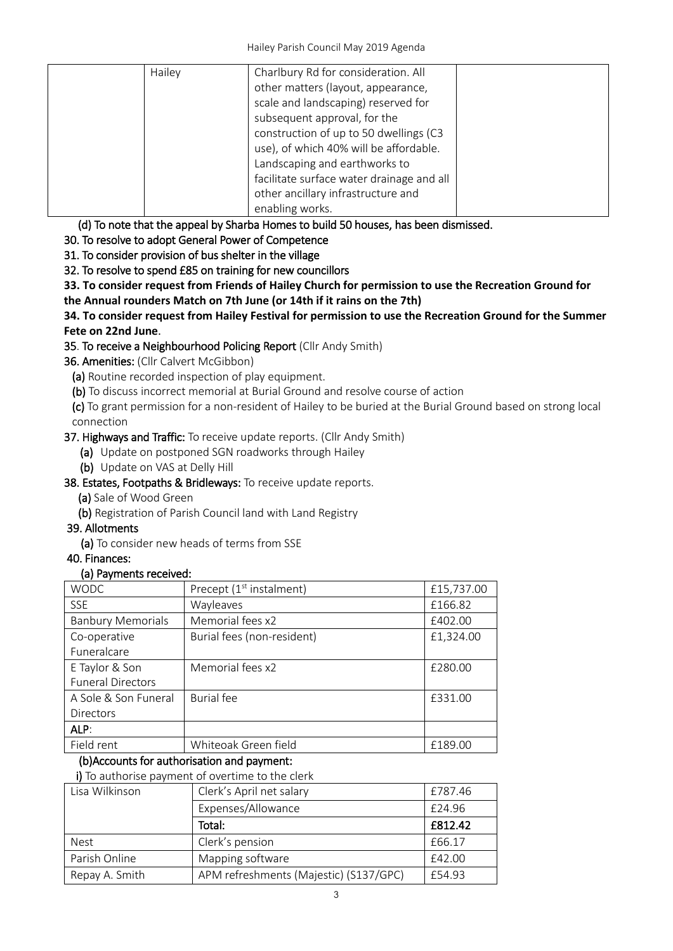| Hailey | Charlbury Rd for consideration. All       |  |
|--------|-------------------------------------------|--|
|        | other matters (layout, appearance,        |  |
|        | scale and landscaping) reserved for       |  |
|        | subsequent approval, for the              |  |
|        | construction of up to 50 dwellings (C3    |  |
|        | use), of which 40% will be affordable.    |  |
|        | Landscaping and earthworks to             |  |
|        | facilitate surface water drainage and all |  |
|        | other ancillary infrastructure and        |  |
|        | enabling works.                           |  |

(d) To note that the appeal by Sharba Homes to build 50 houses, has been dismissed.

30. To resolve to adopt General Power of Competence

31. To consider provision of bus shelter in the village

32. To resolve to spend £85 on training for new councillors

**33. To consider request from Friends of Hailey Church for permission to use the Recreation Ground for** 

**the Annual rounders Match on 7th June (or 14th if it rains on the 7th)**

**34. To consider request from Hailey Festival for permission to use the Recreation Ground for the Summer Fete on 22nd June**.

# 35. To receive a Neighbourhood Policing Report (Cllr Andy Smith)

36. Amenities: (Cllr Calvert McGibbon)

(a) Routine recorded inspection of play equipment.

(b) To discuss incorrect memorial at Burial Ground and resolve course of action

(c) To grant permission for a non-resident of Hailey to be buried at the Burial Ground based on strong local connection

## 37. Highways and Traffic: To receive update reports. (Cllr Andy Smith)

(a) Update on postponed SGN roadworks through Hailey

(b) Update on VAS at Delly Hill

38. Estates, Footpaths & Bridleways: To receive update reports.

(a) Sale of Wood Green

(b) Registration of Parish Council land with Land Registry

# 39. Allotments

(a) To consider new heads of terms from SSE

40. Finances:

# (a) Payments received:

| <b>WODC</b>              | Precept $(1st$ instalment) | £15,737.00 |
|--------------------------|----------------------------|------------|
| <b>SSE</b>               | Wayleaves                  | £166.82    |
| <b>Banbury Memorials</b> | Memorial fees x2           | £402.00    |
| Co-operative             | Burial fees (non-resident) | £1,324.00  |
| Funeralcare              |                            |            |
| E Taylor & Son           | Memorial fees x2           | £280.00    |
| <b>Funeral Directors</b> |                            |            |
| A Sole & Son Funeral     | <b>Burial</b> fee          | £331.00    |
| <b>Directors</b>         |                            |            |
| ALP:                     |                            |            |
| Field rent               | Whiteoak Green field       | £189.00    |

# (b)Accounts for authorisation and payment:

i) To authorise payment of overtime to the clerk

| Lisa Wilkinson | Clerk's April net salary               | £787.46 |
|----------------|----------------------------------------|---------|
|                | Expenses/Allowance                     | £24.96  |
|                | Total:                                 | £812.42 |
| <b>Nest</b>    | Clerk's pension                        | £66.17  |
| Parish Online  | Mapping software                       | £42.00  |
| Repay A. Smith | APM refreshments (Majestic) (S137/GPC) | £54.93  |